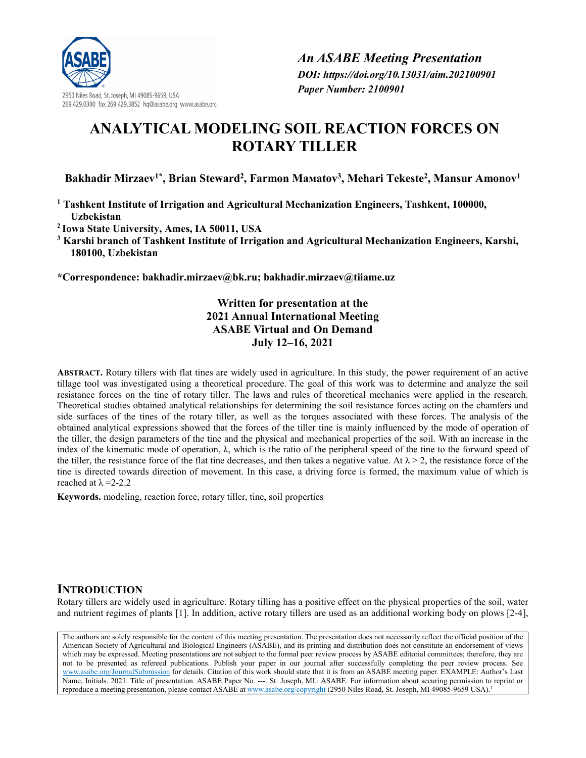

2950 Niles Road, St. Joseph, MI 49085-9659, USA 269.429.0300 fax 269.429.3852 hq@asabe.org www.asabe.org

# **ANALYTICAL MODELING SOIL REACTION FORCES ON ROTARY TILLER**

**Bakhadir Mirzaev1\*, Brian Steward2, Farmon Мамаtov3, Mehari Tekeste2, Mansur Amonov1**

**<sup>1</sup> Tashkent Institute of Irrigation and Agricultural Mechanization Engineers, Tashkent, 100000, Uzbekistan**

**<sup>2</sup> Iowa State University, Ames, IA 50011, USA** 

**<sup>3</sup> Karshi branch of Tashkent Institute of Irrigation and Agricultural Mechanization Engineers, Karshi, 180100, Uzbekistan** 

**\*Correspondence: bakhadir.mirzae[v@bk.ru;](mailto:m.amonov@tiiame.uz) bakhadir.mirzae[v@tiiame.uz](mailto:m.amonov@tiiame.uz)**

## **Written for presentation at the 2021 Annual International Meeting ASABE Virtual and On Demand July 12–16, 2021**

**ABSTRACT.** Rotary tillers with flat tines are widely used in agriculture. In this study, the power requirement of an active tillage tool was investigated using a theoretical procedure. The goal of this work was to determine and analyze the soil resistance forces on the tine of rotary tiller. The laws and rules of theoretical mechanics were applied in the research. Theoretical studies obtained analytical relationships for determining the soil resistance forces acting on the chamfers and side surfaces of the tines of the rotary tiller, as well as the torques associated with these forces. The analysis of the obtained analytical expressions showed that the forces of the tiller tine is mainly influenced by the mode of operation of the tiller, the design parameters of the tine and the physical and mechanical properties of the soil. With an increase in the index of the kinematic mode of operation,  $\lambda$ , which is the ratio of the peripheral speed of the tine to the forward speed of the tiller, the resistance force of the flat tine decreases, and then takes a negative value. At  $\lambda > 2$ , the resistance force of the tine is directed towards direction of movement. In this case, a driving force is formed, the maximum value of which is reached at  $\lambda = 2-2.2$ 

**Keywords.** modeling, reaction force, rotary tiller, tine, soil properties

## **INTRODUCTION**

Rotary tillers are widely used in agriculture. Rotary tilling has a positive effect on the physical properties of the soil, water and nutrient regimes of plants [1]. In addition, active rotary tillers are used as an additional working body on plows [2-4],

The authors are solely responsible for the content of this meeting presentation. The presentation does not necessarily reflect the official position of the American Society of Agricultural and Biological Engineers (ASABE), and its printing and distribution does not constitute an endorsement of views which may be expressed. Meeting presentations are not subject to the formal peer review process by ASABE editorial committees; therefore, they are not to be presented as refereed publications. Publish your paper in our journal after successfully completing the peer review process. See [www.asabe.org/JournalSubmission](http://www.asabe.org/JournalSubmission) for details. Citation of this work should state that it is from an ASABE meeting paper. EXAMPLE: Author's Last Name, Initials. 2021. Title of presentation. ASABE Paper No. ---. St. Joseph, MI.: ASABE. For information about securing permission to reprint or reproduce a meeting presentation, please contact ASABE a[t www.asabe.org/copyright](http://www.asabe.org/copyright) (2950 Niles Road, St. Joseph, MI 49085-9659 USA).<sup>1</sup>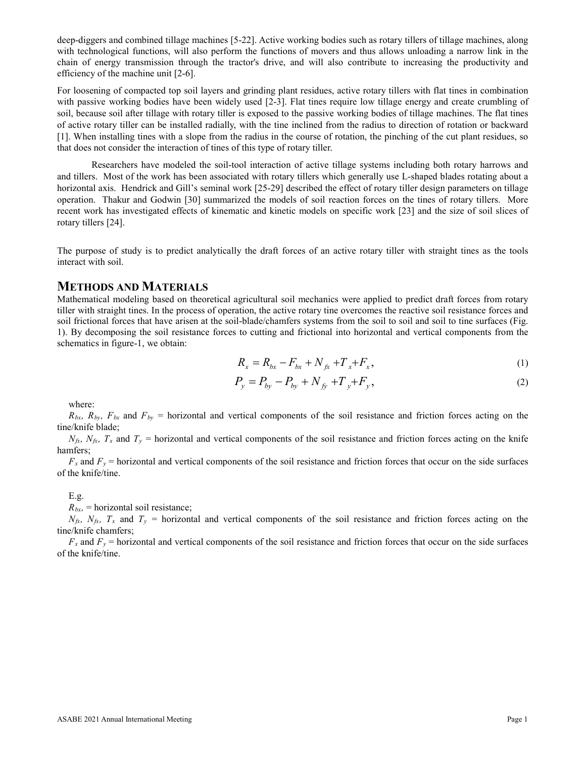deep-diggers and combined tillage machines [5-22]. Active working bodies such as rotary tillers of tillage machines, along with technological functions, will also perform the functions of movers and thus allows unloading a narrow link in the chain of energy transmission through the tractor's drive, and will also contribute to increasing the productivity and efficiency of the machine unit [2-6].

For loosening of compacted top soil layers and grinding plant residues, active rotary tillers with flat tines in combination with passive working bodies have been widely used [2-3]. Flat tines require low tillage energy and create crumbling of soil, because soil after tillage with rotary tiller is exposed to the passive working bodies of tillage machines. The flat tines of active rotary tiller can be installed radially, with the tine inclined from the radius to direction of rotation or backward [1]. When installing tines with a slope from the radius in the course of rotation, the pinching of the cut plant residues, so that does not consider the interaction of tines of this type of rotary tiller.

Researchers have modeled the soil-tool interaction of active tillage systems including both rotary harrows and and tillers. Most of the work has been associated with rotary tillers which generally use L-shaped blades rotating about a horizontal axis. Hendrick and Gill's seminal work [25-29] described the effect of rotary tiller design parameters on tillage operation. Thakur and Godwin [30] summarized the models of soil reaction forces on the tines of rotary tillers. More recent work has investigated effects of kinematic and kinetic models on specific work [23] and the size of soil slices of rotary tillers [24].

The purpose of study is to predict analytically the draft forces of an active rotary tiller with straight tines as the tools interact with soil.

### **METHODS AND MATERIALS**

Mathematical modeling based on theoretical agricultural soil mechanics were applied to predict draft forces from rotary tiller with straight tines. In the process of operation, the active rotary tine overcomes the reactive soil resistance forces and soil frictional forces that have arisen at the soil-blade/chamfers systems from the soil to soil and soil to tine surfaces (Fig. 1). By decomposing the soil resistance forces to cutting and frictional into horizontal and vertical components from the schematics in figure-1, we obtain:

$$
R_x = R_{bx} - F_{bx} + N_{fx} + T_x + F_x, \tag{1}
$$

$$
P_y = P_{by} - P_{by} + N_{fy} + T_y + F_y,
$$
\n(2)

where:

 $R_{bx}$ ,  $R_{by}$ ,  $F_{bx}$  and  $F_{by}$  = horizontal and vertical components of the soil resistance and friction forces acting on the tine/knife blade;

 $N_f(x)$ ,  $N_f(x)$ ,  $T_x$  and  $T_y$  = horizontal and vertical components of the soil resistance and friction forces acting on the knife hamfers;

 $F_x$  and  $F_y$  = horizontal and vertical components of the soil resistance and friction forces that occur on the side surfaces of the knife/tine.

E.g.

 $R_{bx}$ , = horizontal soil resistance;

 $N_{fix}$ ,  $N_{fix}$ ,  $T_x$  and  $T_y$  = horizontal and vertical components of the soil resistance and friction forces acting on the tine/knife chamfers;

 $F_x$  and  $F_y$  = horizontal and vertical components of the soil resistance and friction forces that occur on the side surfaces of the knife/tine.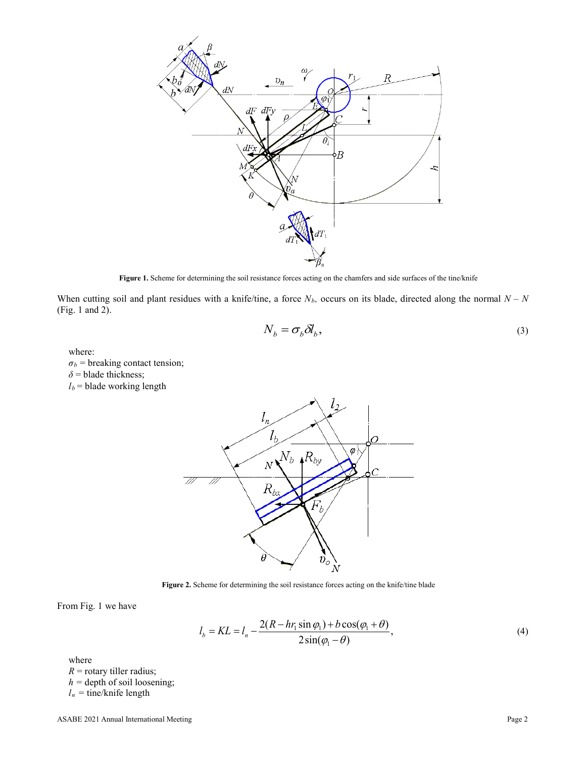

**Figure 1.** Scheme for determining the soil resistance forces acting on the chamfers and side surfaces of the tine/knife

When cutting soil and plant residues with a knife/tine, a force  $N_b$ , occurs on its blade, directed along the normal  $N - N$ (Fig. 1 and 2).

$$
N_b = \sigma_b \delta l_b,\tag{3}
$$

where:

 $\sigma_b$  = breaking contact tension; *δ* = blade thickness;  $l_b$  = blade working length



**Figure 2.** Scheme for determining the soil resistance forces acting on the knife/tine blade

From Fig. 1 we have

$$
l_b = KL = l_n - \frac{2(R - hr_1 \sin \varphi_1) + b \cos(\varphi_1 + \theta)}{2 \sin(\varphi_1 - \theta)},
$$
\n<sup>(4)</sup>

where

 $R$  = rotary tiller radius; *h =* depth of soil loosening;

 $l_n$  = tine/knife length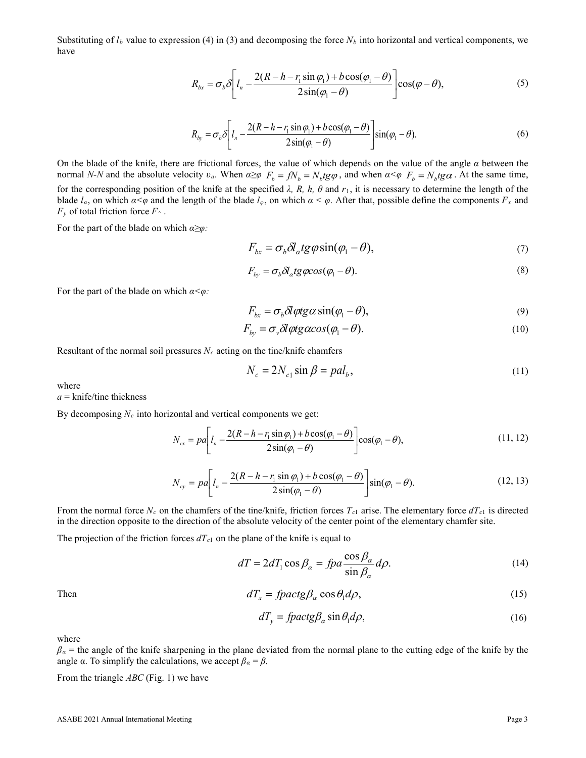Substituting of  $l_b$  value to expression (4) in (3) and decomposing the force  $N_b$  into horizontal and vertical components, we have

$$
R_{bx} = \sigma_b \delta \left[ l_n - \frac{2(R - h - r_1 \sin \varphi_1) + b \cos(\varphi_1 - \theta)}{2 \sin(\varphi_1 - \theta)} \right] \cos(\varphi - \theta), \tag{5}
$$

$$
R_{by} = \sigma_b \delta \left[ l_n - \frac{2(R - h - r_1 \sin \varphi_1) + b \cos(\varphi_1 - \theta)}{2 \sin(\varphi_1 - \theta)} \right] \sin(\varphi_1 - \theta). \tag{6}
$$

On the blade of the knife, there are frictional forces, the value of which depends on the value of the angle *α* between the normal *N-N* and the absolute velocity  $v_a$ . When  $\alpha \geq \varphi$   $F_b = fN_b \, t \, g\varphi$ , and when  $\alpha \leq \varphi$   $F_b = N_b \, t \, g\alpha$ . At the same time, for the corresponding position of the knife at the specified *λ, R, h, θ* and *r*1, it is necessary to determine the length of the blade  $l_\alpha$ , on which  $\alpha < \varphi$  and the length of the blade  $l_\varphi$ , on which  $\alpha < \varphi$ . After that, possible define the components  $F_x$  and  $F_y$  of total friction force  $F^{\wedge}$ .

For the part of the blade on which *α≥φ:*

$$
F_{bx} = \sigma_b \delta l_a t g \varphi \sin(\varphi_1 - \theta), \tag{7}
$$

$$
F_{by} = \sigma_b \delta l_a t g \varphi \cos(\varphi_1 - \theta). \tag{8}
$$

For the part of the blade on which *α<φ:*

$$
F_{bx} = \sigma_b \delta l \phi t g \alpha \sin(\phi_1 - \theta), \tag{9}
$$

$$
F_{by} = \sigma_v \delta l \phi t g \alpha \cos(\phi_1 - \theta). \tag{10}
$$

Resultant of the normal soil pressures  $N_c$  acting on the tine/knife chamfers

$$
N_c = 2N_{c1} \sin \beta = pal_b,\tag{11}
$$

where

*а* = knife/tine thickness

By decomposing *Nc* into horizontal and vertical components we get:

$$
N_{cx} = pa \bigg[ I_n - \frac{2(R - h - r_1 \sin \varphi_1) + b \cos(\varphi_1 - \theta)}{2 \sin(\varphi_1 - \theta)} \bigg] \cos(\varphi_1 - \theta), \tag{11, 12}
$$

$$
N_{cy} = pa \bigg[ l_n - \frac{2(R - h - r_1 \sin \varphi_1) + b \cos(\varphi_1 - \theta)}{2 \sin(\varphi_1 - \theta)} \bigg] \sin(\varphi_1 - \theta). \tag{12, 13}
$$

From the normal force  $N_c$  on the chamfers of the tine/knife, friction forces  $T_c$ <sub>1</sub> arise. The elementary force  $dT_c$ <sub>1</sub> is directed in the direction opposite to the direction of the absolute velocity of the center point of the elementary chamfer site.

The projection of the friction forces  $dT_{c1}$  on the plane of the knife is equal to

$$
dT = 2dT_1 \cos \beta_\alpha = f p a \frac{\cos \beta_\alpha}{\sin \beta_\alpha} d\rho.
$$
 (14)

Then 
$$
dT_x = \text{f} \text{p} \text{a} \text{c} \text{t} \text{g} \beta_\alpha \cos \theta_1 d\rho, \qquad (15)
$$

$$
dT_{y} = \int \frac{\rho}{\rho} \arctan \beta_{\alpha} \sin \theta_{1} d\rho, \tag{16}
$$

where

 $\beta_a$  = the angle of the knife sharpening in the plane deviated from the normal plane to the cutting edge of the knife by the angle  $\alpha$ . To simplify the calculations, we accept  $\beta_{\alpha} = \beta$ .

From the triangle *АВС* (Fig. 1) we have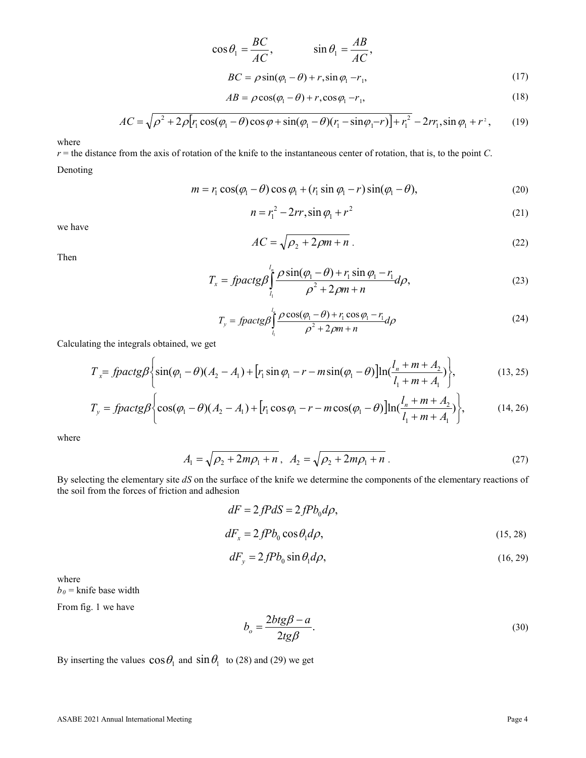$$
\cos \theta_1 = \frac{BC}{AC}, \qquad \sin \theta_1 = \frac{AB}{AC},
$$

 $BC = \rho \sin(\varphi_1 - \theta) + r, \sin \varphi_1 - r_1,$  (17)

$$
AB = \rho \cos(\varphi_1 - \theta) + r, \cos \varphi_1 - r_1,\tag{18}
$$

$$
AC = \sqrt{\rho^2 + 2\rho [r_1 \cos(\varphi_1 - \theta)\cos\varphi + \sin(\varphi_1 - \theta)(r_1 - \sin\varphi_1 - r)] + r_1^2} - 2rr_1, \sin\varphi_1 + r^2,
$$
 (19)

where

*r* = the distance from the axis of rotation of the knife to the instantaneous center of rotation, that is, to the point *С*.

Denoting

$$
m = r_1 \cos(\varphi_1 - \theta) \cos \varphi_1 + (r_1 \sin \varphi_1 - r) \sin(\varphi_1 - \theta), \tag{20}
$$

$$
n = r_1^2 - 2rr, \sin \varphi_1 + r^2 \tag{21}
$$

we have

$$
AC = \sqrt{\rho_2 + 2\rho m + n} \tag{22}
$$

Then

$$
T_x = \int \rho \, \text{arctg} \, \beta \int_{l_1}^{l_n} \frac{\rho \sin(\phi_1 - \theta) + r_1 \sin \phi_1 - r_1}{\rho^2 + 2\rho m + n} d\rho,\tag{23}
$$

$$
T_{y} = \int \frac{d_{n}}{\rho} \frac{\rho \cos(\varphi_{1} - \theta) + r_{1} \cos \varphi_{1} - r_{1}}{\rho^{2} + 2\rho m + n} d\rho
$$
\n(24)

Calculating the integrals obtained, we get

$$
T_{x} = \int \frac{\rho_1}{\sin(\varphi_1 - \theta)} \left\{ \sin(\varphi_1 - \theta) (A_2 - A_1) + \left[ r_1 \sin \varphi_1 - r - m \sin(\varphi_1 - \theta) \right] \ln(\frac{l_n + m + A_2}{l_1 + m + A_1}) \right\},\tag{13,25}
$$

$$
T_{y} = \text{fpackg}\beta \left\{ \cos(\varphi_1 - \theta)(A_2 - A_1) + \left[ r_1 \cos \varphi_1 - r - m \cos(\varphi_1 - \theta) \right] \ln(\frac{l_n + m + A_2}{l_1 + m + A_1}) \right\},\tag{14,26}
$$

where

$$
A_1 = \sqrt{\rho_2 + 2m\rho_1 + n}, \quad A_2 = \sqrt{\rho_2 + 2m\rho_1 + n} \tag{27}
$$

By selecting the elementary site *dS* on the surface of the knife we determine the components of the elementary reactions of the soil from the forces of friction and adhesion

$$
dF = 2fP dS = 2fP b_0 d\rho,
$$
  
\n
$$
dF_x = 2fP b_0 \cos \theta_1 d\rho,
$$
\n(15, 28)

$$
dF_y = 2fPb_0\sin\theta_1 d\rho, \qquad (16,29)
$$

where

 $b_0$  = knife base width

From fig. 1 we have

$$
b_o = \frac{2btg\beta - a}{2tg\beta}.\tag{30}
$$

By inserting the values  $\cos\theta_1$  and  $\sin\theta_1$  to (28) and (29) we get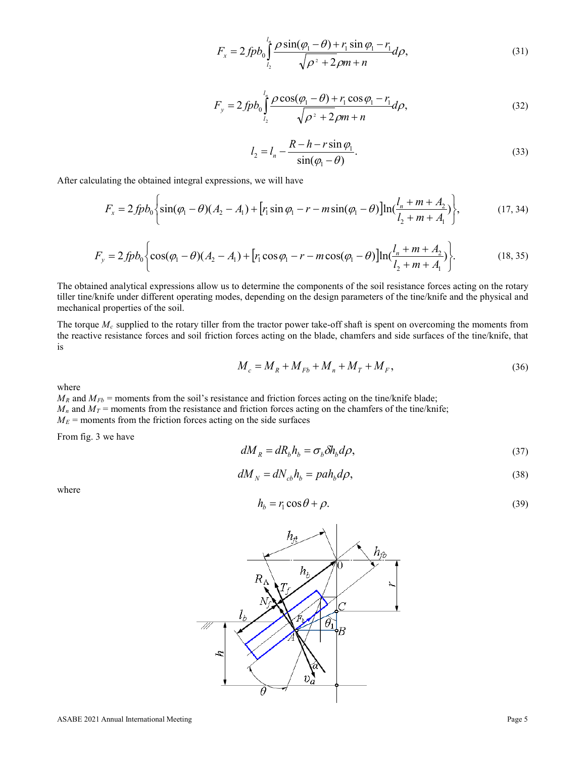$$
F_x = 2f p b_0 \int_{l_2}^{l_n} \frac{\rho \sin(\varphi_1 - \theta) + r_1 \sin \varphi_1 - r_1}{\sqrt{\rho^2 + 2\rho m + n}} d\rho,
$$
\n(31)

$$
F_{y} = 2f p b_0 \int_{l_2}^{l_1} \frac{\rho \cos(\varphi_1 - \theta) + r_1 \cos \varphi_1 - r_1}{\sqrt{\rho^2 + 2\rho m + n}} d\rho,
$$
\n(32)

$$
l_2 = l_n - \frac{R - h - r\sin\varphi_1}{\sin(\varphi_1 - \theta)}.
$$
\n(33)

After calculating the obtained integral expressions, we will have

$$
F_x = 2f p b_0 \left\{ \sin(\varphi_1 - \theta)(A_2 - A_1) + \left[ r_1 \sin \varphi_1 - r - m \sin(\varphi_1 - \theta) \right] \ln(\frac{l_n + m + A_2}{l_2 + m + A_1}) \right\},\tag{17,34}
$$

$$
F_y = 2 f p b_0 \left\{ \cos(\varphi_1 - \theta) (A_2 - A_1) + \left[ r_1 \cos \varphi_1 - r - m \cos(\varphi_1 - \theta) \right] \ln(\frac{l_n + m + A_2}{l_2 + m + A_1}) \right\}.
$$
 (18, 35)

The obtained analytical expressions allow us to determine the components of the soil resistance forces acting on the rotary tiller tine/knife under different operating modes, depending on the design parameters of the tine/knife and the physical and mechanical properties of the soil.

The torque  $M_c$  supplied to the rotary tiller from the tractor power take-off shaft is spent on overcoming the moments from the reactive resistance forces and soil friction forces acting on the blade, chamfers and side surfaces of the tine/knife, that is

$$
M_c = M_R + M_{Fb} + M_n + M_T + M_F, \tag{36}
$$

where

 $M_R$  and  $M_{Fb}$  = moments from the soil's resistance and friction forces acting on the tine/knife blade;  $M_n$  and  $M_T$  = moments from the resistance and friction forces acting on the chamfers of the tine/knife;  $M_E$  = moments from the friction forces acting on the side surfaces

From fig. 3 we have

$$
dM_R = dR_b h_b = \sigma_b \delta h_b d\rho, \qquad (37)
$$

$$
dM_N = dN_{cb}h_b = pah_b d\rho, \qquad (38)
$$

where

$$
h_b = r_1 \cos \theta + \rho. \tag{39}
$$

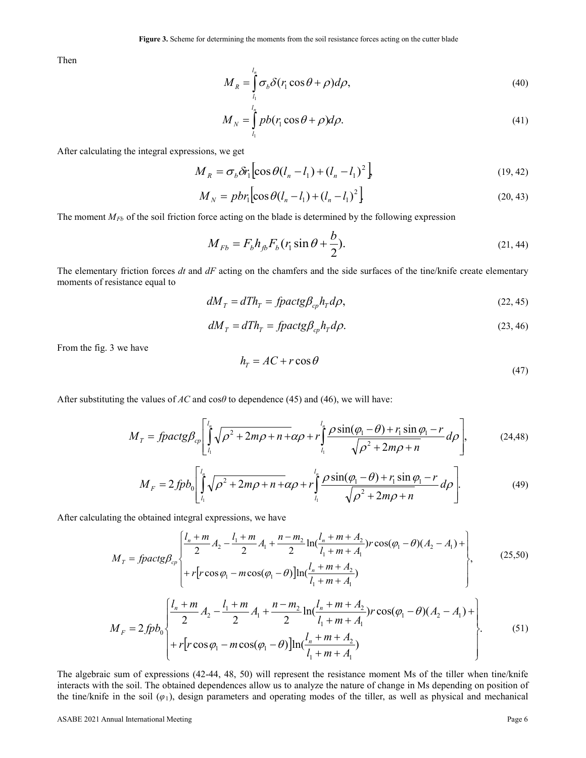Then

$$
M_R = \int_{l_1}^{l_n} \sigma_b \delta(r_1 \cos \theta + \rho) d\rho,
$$
\n(40)

$$
M_N = \int_{l_1}^{l_n} pb(r_1 \cos \theta + \rho) d\rho.
$$
 (41)

After calculating the integral expressions, we get

$$
M_R = \sigma_b \delta r_1 \left[ \cos \theta (l_n - l_1) + (l_n - l_1)^2 \right]
$$
 (19, 42)

$$
M_N = pbr_1 \Big[ \cos \theta (l_n - l_1) + (l_n - l_1)^2 \Big] \tag{20.43}
$$

The moment *M<sub>Fb</sub>* of the soil friction force acting on the blade is determined by the following expression

$$
M_{Fb} = F_b h_{fb} F_b (r_1 \sin \theta + \frac{b}{2}).
$$
\n(21, 44)

The elementary friction forces *dt* and *dF* acting on the chamfers and the side surfaces of the tine/knife create elementary moments of resistance equal to

$$
dM_T = dTh_T = \frac{f}{\rho} \frac{d\beta}{d\rho} h_T d\rho, \tag{22.45}
$$

$$
dM_T = dTh_T = \frac{f}{\rho} \cdot \frac{d\beta}{dp} \cdot \frac{d\rho}{dp}.
$$
\n(23, 46)

From the fig. 3 we have

$$
h_r = AC + r \cos \theta \tag{47}
$$

After substituting the values of *АС* and cos*θ* to dependence (45) and (46), we will have:

$$
M_T = \text{fpackg}\beta_{cp} \left[ \int_{l_1}^{l_n} \sqrt{\rho^2 + 2m\rho + n + \alpha \rho} + r \int_{l_1}^{l_n} \frac{\rho \sin(\varphi_1 - \theta) + r_1 \sin \varphi_1 - r}{\sqrt{\rho^2 + 2m\rho + n}} d\rho \right],\tag{24.48}
$$

$$
M_F = 2f p b_0 \left[ \int_{l_1}^{l_n} \sqrt{\rho^2 + 2m\rho + n + \alpha \rho} + r \int_{l_1}^{l_n} \frac{\rho \sin(\varphi_1 - \theta) + r_1 \sin \varphi_1 - r}{\sqrt{\rho^2 + 2m\rho + n}} d\rho \right].
$$
 (49)

After calculating the obtained integral expressions, we have

$$
M_{T} = \int \frac{l_{n} + m}{2} A_{2} - \frac{l_{1} + m}{2} A_{1} + \frac{n - m_{2}}{2} \ln(\frac{l_{n} + m + A_{2}}{l_{1} + m + A_{1}}) r \cos(\varphi_{1} - \theta) (A_{2} - A_{1}) + \left\{ r \left[ r \cos \varphi_{1} - m \cos(\varphi_{1} - \theta) \right] \ln(\frac{l_{n} + m + A_{2}}{l_{1} + m + A_{1}}) + \left\{ r \left[ r \cos \varphi_{1} - m \cos(\varphi_{1} - \theta) \right] \ln(\frac{l_{n} + m + A_{2}}{l_{1} + m + A_{1}}) \right\} \right\}, \tag{25.50}
$$

$$
M_F = 2f p b_0 \left\{ \frac{l_n + m}{2} A_2 - \frac{l_1 + m}{2} A_1 + \frac{n - m_2}{2} \ln(\frac{l_n + m + A_2}{l_1 + m + A_1}) r \cos(\varphi_1 - \theta) (A_2 - A_1) + \right. \\ \left. + r \left[ r \cos \varphi_1 - m \cos(\varphi_1 - \theta) \right] \ln(\frac{l_n + m + A_2}{l_1 + m + A_1}) \right\} \tag{51}
$$

The algebraic sum of expressions (42-44, 48, 50) will represent the resistance moment Ms of the tiller when tine/knife interacts with the soil. The obtained dependences allow us to analyze the nature of change in Ms depending on position of the tine/knife in the soil  $(\varphi_1)$ , design parameters and operating modes of the tiller, as well as physical and mechanical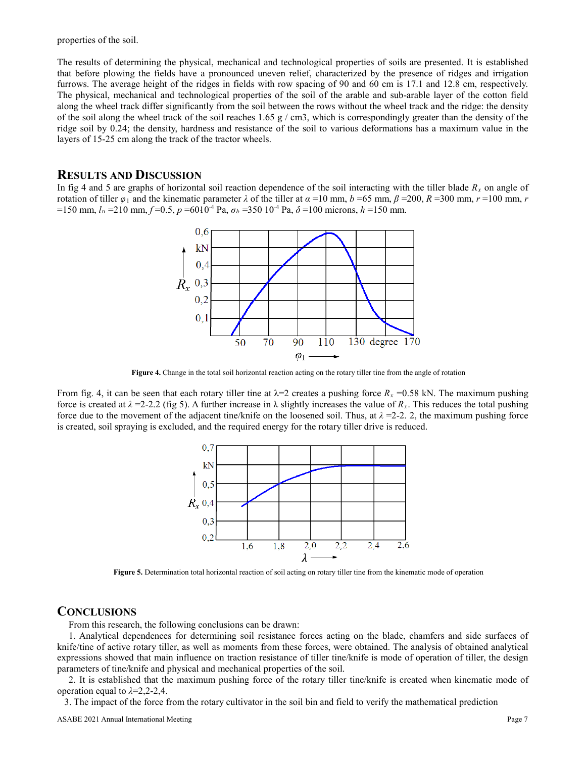properties of the soil.

The results of determining the physical, mechanical and technological properties of soils are presented. It is established that before plowing the fields have a pronounced uneven relief, characterized by the presence of ridges and irrigation furrows. The average height of the ridges in fields with row spacing of 90 and 60 cm is 17.1 and 12.8 cm, respectively. The physical, mechanical and technological properties of the soil of the arable and sub-arable layer of the cotton field along the wheel track differ significantly from the soil between the rows without the wheel track and the ridge: the density of the soil along the wheel track of the soil reaches 1.65 g  $/$  cm3, which is correspondingly greater than the density of the ridge soil by 0.24; the density, hardness and resistance of the soil to various deformations has a maximum value in the layers of 15-25 cm along the track of the tractor wheels.

### **RESULTS AND DISCUSSION**

In fig 4 and 5 are graphs of horizontal soil reaction dependence of the soil interacting with the tiller blade  $R_x$  on angle of rotation of tiller  $\varphi_1$  and the kinematic parameter  $\lambda$  of the tiller at  $\alpha$  =10 mm,  $b$  =65 mm,  $\beta$  =200,  $R$  =300 mm,  $r$  =100 mm,  $r$  $=150$  mm,  $l<sub>n</sub> = 210$  mm,  $f=0.5$ ,  $p = 6010<sup>-4</sup>$  Pa,  $\sigma<sub>b</sub> = 350 10<sup>-4</sup>$  Pa,  $\delta = 100$  microns,  $h = 150$  mm.



**Figure 4.** Change in the total soil horizontal reaction acting on the rotary tiller tine from the angle of rotation

From fig. 4, it can be seen that each rotary tiller tine at  $\lambda = 2$  creates a pushing force  $R_x = 0.58$  kN. The maximum pushing force is created at  $\lambda = 2-2.2$  (fig 5). A further increase in  $\lambda$  slightly increases the value of  $R_x$ . This reduces the total pushing force due to the movement of the adjacent tine/knife on the loosened soil. Thus, at  $\lambda$  =2-2. 2, the maximum pushing force is created, soil spraying is excluded, and the required energy for the rotary tiller drive is reduced.



**Figure 5.** Determination total horizontal reaction of soil acting on rotary tiller tine from the kinematic mode of operation

#### **CONCLUSIONS**

From this research, the following conclusions can be drawn:

1. Analytical dependences for determining soil resistance forces acting on the blade, chamfers and side surfaces of knife/tine of active rotary tiller, as well as moments from these forces, were obtained. The analysis of obtained analytical expressions showed that main influence on traction resistance of tiller tine/knife is mode of operation of tiller, the design parameters of tine/knife and physical and mechanical properties of the soil.

2. It is established that the maximum pushing force of the rotary tiller tine/knife is created when kinematic mode of operation equal to *λ*=2,2-2,4.

3. The impact of the force from the rotary cultivator in the soil bin and field to verify the mathematical prediction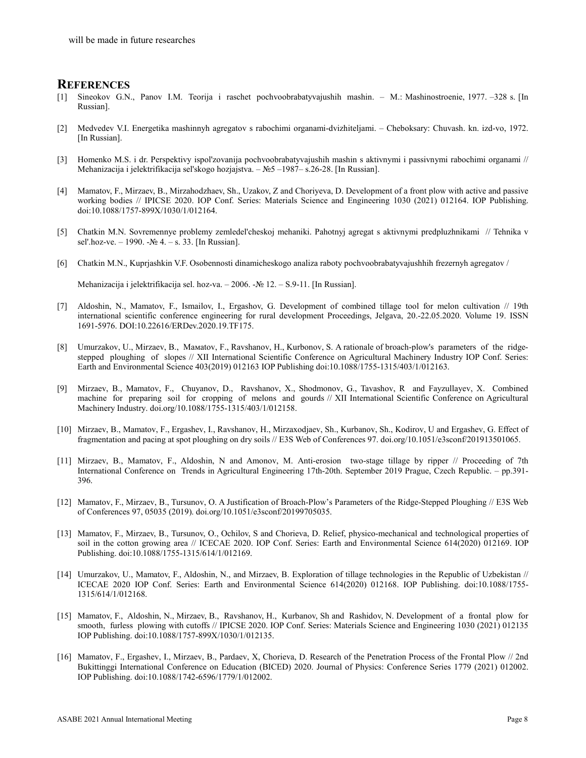#### **REFERENCES**

- [1] Sineokov G.N., Panov I.M. Teorija i raschet pochvoobrabatyvajushih mashin. M.: Mashinostroenie, 1977. –328 s. [In Russian].
- [2] Medvedev V.I. Energetika mashinnyh agregatov s rabochimi organami-dvizhiteljami. Cheboksary: Chuvash. kn. izd-vo, 1972. [In Russian].
- [3] Homenko M.S. i dr. Perspektivy ispol'zovanija pochvoobrabatyvajushih mashin s aktivnymi i passivnymi rabochimi organami // Mehanizacija i jelektrifikacija sel'skogo hozjajstva. – №5 –1987– s.26-28. [In Russian].
- [4] Мamatov, F., Mirzaev, B., Mirzahodzhaev, Sh., Uzakov, Z and Choriyeva, D. Development of a front plow with active and passive working bodies // IPICSE 2020. IOP Conf. Series: Materials Science and Engineering 1030 (2021) 012164. IOP Publishing. doi:10.1088/1757-899X/1030/1/012164.
- [5] Chatkin M.N. Sovremennye problemy zemledel'cheskoj mehaniki. Pahotnyj agregat s aktivnymi predpluzhnikami // Tehnika v sel'.hoz-ve. – 1990. -№ 4. – s. 33. [In Russian].
- [6] Chatkin M.N., Kuprjashkin V.F. Osobennosti dinamicheskogo analiza raboty pochvoobrabatyvajushhih frezernyh agregatov /

Mehanizacija i jelektrifikacija sel. hoz-va. – 2006. -№ 12. – S.9-11. [In Russian].

- [7] Aldoshin, N., Mamatov, F., Ismailov, I., Ergashov, G. Development of combined tillage tool for melon cultivation // 19th international scientific conference engineering for rural development Proceedings, Jelgava, 20.-22.05.2020. Volume 19. ISSN 1691-5976. DOI:10.22616/ERDev.2020.19.TF175.
- [8] Umurzakov, U., Mirzaev, B., Мaмatov, F., Ravshanov, H., Kurbonov, S. A rationale of broach-plow's parameters of the ridgestepped ploughing of slopes // XII International Scientific Conference on Agricultural Machinery Industry IOP Conf. Series: Earth and Environmental Science 403(2019) 012163 IOP Publishing doi:10.1088/1755-1315/403/1/012163.
- [9] Mirzaev, B., Mamatov, F., Chuyanov, D., Ravshanov, X., Shodmonov, G., Tavashov, R and Fayzullayev, X. Combined machine for preparing soil for cropping of melons and gourds // XII International Scientific Conference on Agricultural Machinery Industry. doi.org/10.1088/1755-1315/403/1/012158.
- [10] Mirzaev, B., Mamatov, F., Ergashev, I., Ravshanov, H., Mirzaxodjaev, Sh., Kurbanov, Sh., Kodirov, U and Ergashev, G. Effect of fragmentation and pacing at spot ploughing on dry soils // E3S Web of Conferences 97[. doi.org/10.1051/e3sconf/201913501065.](https://doi.org/10.1051/e3sconf/201913501065)
- [11] Mirzaev, B., Mamatov, F., Aldoshin, N and Amonov, M. Anti-erosion two-stage tillage by ripper // Proceeding of 7th International Conference on Trends in Agricultural Engineering 17th-20th. September 2019 Prague, Czech Republic. – pp.391- 396.
- [12] Mamatov, F., Mirzaev, B., Tursunov, O. A Justification of Broach-Plow's Parameters of the Ridge-Stepped Ploughing // E3S Web of Conferences 97, 05035 (2019). doi.org/10.1051/e3sconf/20199705035.
- [13] Mamatov, F., Mirzaev, B., Tursunov, O., Ochilov, S and Chorieva, D. Relief, physico-mechanical and technological properties of soil in the cotton growing area // ICECAE 2020. IOP Conf. Series: Earth and Environmental Science 614(2020) 012169. IOP Publishing. doi:10.1088/1755-1315/614/1/012169.
- [14] Umurzakov, U., Mamatov, F., Aldoshin, N., and Mirzaev, B. Exploration of tillage technologies in the Republic of Uzbekistan // ICECAE 2020 IOP Conf. Series: Earth and Environmental Science 614(2020) 012168. IOP Publishing. doi:10.1088/1755- 1315/614/1/012168.
- [15] Mamatov, F., Aldoshin, N., Mirzaev, B., Ravshanov, H., Kurbаnov, Sh and Rashidov, N. Development of a frontal plow for smooth, furless plowing with cutoffs // IPICSE 2020. IOP Conf. Series: Materials Science and Engineering 1030 (2021) 012135 IOP Publishing. doi:10.1088/1757-899X/1030/1/012135.
- [16] Mamatov, F., Ergashev, I., Mirzaev, B., Pardaev, X, Chorieva, D. Research of the Penetration Process of the Frontal Plow // 2nd Bukittinggi International Conference on Education (BICED) 2020. Journal of Physics: Conference Series 1779 (2021) 012002. IOP Publishing. doi:10.1088/1742-6596/1779/1/012002.